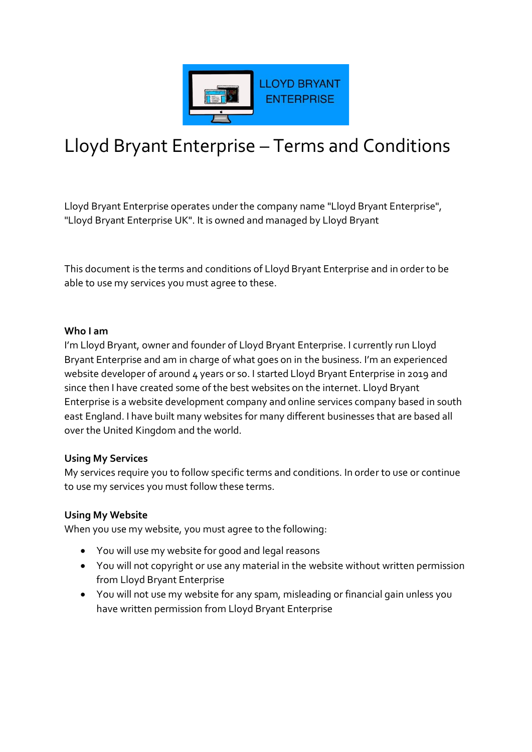

# Lloyd Bryant Enterprise – Terms and Conditions

Lloyd Bryant Enterprise operates under the company name "Lloyd Bryant Enterprise", "Lloyd Bryant Enterprise UK". It is owned and managed by Lloyd Bryant

This document is the terms and conditions of Lloyd Bryant Enterprise and in order to be able to use my services you must agree to these.

#### **Who I am**

I'm Lloyd Bryant, owner and founder of Lloyd Bryant Enterprise. I currently run Lloyd Bryant Enterprise and am in charge of what goes on in the business. I'm an experienced website developer of around 4 years or so. I started Lloyd Bryant Enterprise in 2019 and since then I have created some of the best websites on the internet. Lloyd Bryant Enterprise is a website development company and online services company based in south east England. I have built many websites for many different businesses that are based all over the United Kingdom and the world.

#### **Using My Services**

My services require you to follow specific terms and conditions. In order to use or continue to use my services you must follow these terms.

#### **Using My Website**

When you use my website, you must agree to the following:

- You will use my website for good and legal reasons
- You will not copyright or use any material in the website without written permission from Lloyd Bryant Enterprise
- You will not use my website for any spam, misleading or financial gain unless you have written permission from Lloyd Bryant Enterprise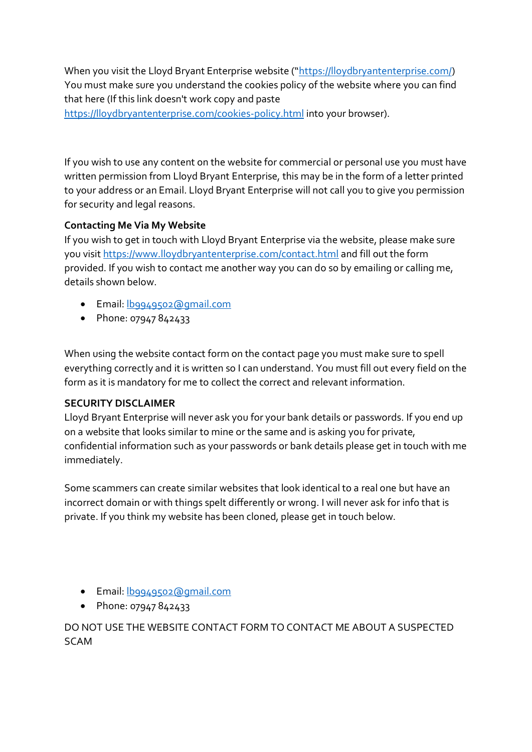When you visit the Lloyd Bryant Enterprise website ("[https://lloydbryantenterprise.com/\)](https://lloydbryantenterprise.com/) You must make sure you understand the cookies policy of the website where you can find that here (If this link doesn't work copy and paste

<https://lloydbryantenterprise.com/cookies-policy.html> into your browser).

If you wish to use any content on the website for commercial or personal use you must have written permission from Lloyd Bryant Enterprise, this may be in the form of a letter printed to your address or an Email. Lloyd Bryant Enterprise will not call you to give you permission for security and legal reasons.

# **Contacting Me Via My Website**

If you wish to get in touch with Lloyd Bryant Enterprise via the website, please make sure you visit<https://www.lloydbryantenterprise.com/contact.html> and fill out the form provided. If you wish to contact me another way you can do so by emailing or calling me, details shown below.

- Email: b9949502@gmail.com
- Phone: 07947 842433

When using the website contact form on the contact page you must make sure to spell everything correctly and it is written so I can understand. You must fill out every field on the form as it is mandatory for me to collect the correct and relevant information.

## **SECURITY DISCLAIMER**

Lloyd Bryant Enterprise will never ask you for your bank details or passwords. If you end up on a website that looks similar to mine or the same and is asking you for private, confidential information such as your passwords or bank details please get in touch with me immediately.

Some scammers can create similar websites that look identical to a real one but have an incorrect domain or with things spelt differently or wrong. I will never ask for info that is private. If you think my website has been cloned, please get in touch below.

- Email[: lb9949502@gmail.com](mailto:lb9949502@gmail.com)
- Phone: 07947 842433

DO NOT USE THE WEBSITE CONTACT FORM TO CONTACT ME ABOUT A SUSPECTED SCAM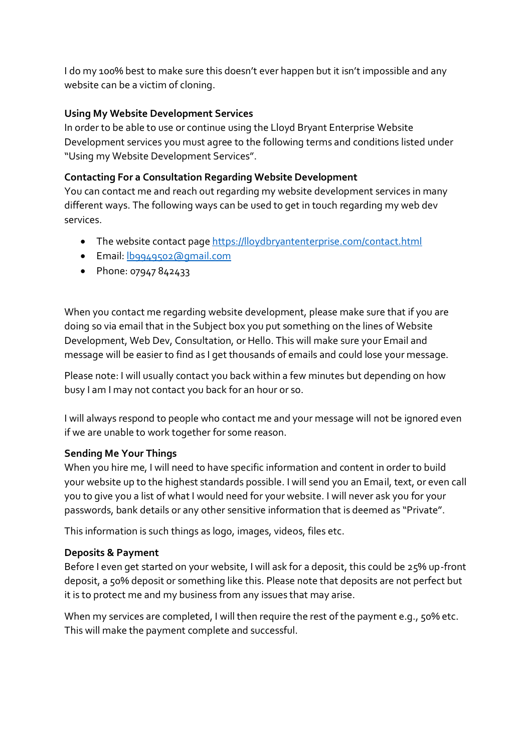I do my 100% best to make sure this doesn't ever happen but it isn't impossible and any website can be a victim of cloning.

## **Using My Website Development Services**

In order to be able to use or continue using the Lloyd Bryant Enterprise Website Development services you must agree to the following terms and conditions listed under "Using my Website Development Services".

## **Contacting For a Consultation Regarding Website Development**

You can contact me and reach out regarding my website development services in many different ways. The following ways can be used to get in touch regarding my web dev services.

- The website contact pag[e https://lloydbryantenterprise.com/contact.html](https://lloydbryantenterprise.com/contact.html)
- Email[: lb9949502@gmail.com](mailto:lb9949502@gmail.com)
- Phone: 07947 842433

When you contact me regarding website development, please make sure that if you are doing so via email that in the Subject box you put something on the lines of Website Development, Web Dev, Consultation, or Hello. This will make sure your Email and message will be easier to find as I get thousands of emails and could lose your message.

Please note: I will usually contact you back within a few minutes but depending on how busy I am I may not contact you back for an hour or so.

I will always respond to people who contact me and your message will not be ignored even if we are unable to work together for some reason.

## **Sending Me Your Things**

When you hire me, I will need to have specific information and content in order to build your website up to the highest standards possible. I will send you an Email, text, or even call you to give you a list of what I would need for your website. I will never ask you for your passwords, bank details or any other sensitive information that is deemed as "Private".

This information is such things as logo, images, videos, files etc.

## **Deposits & Payment**

Before I even get started on your website, I will ask for a deposit, this could be 25% up-front deposit, a 50% deposit or something like this. Please note that deposits are not perfect but it is to protect me and my business from any issues that may arise.

When my services are completed, I will then require the rest of the payment e.g., 50% etc. This will make the payment complete and successful.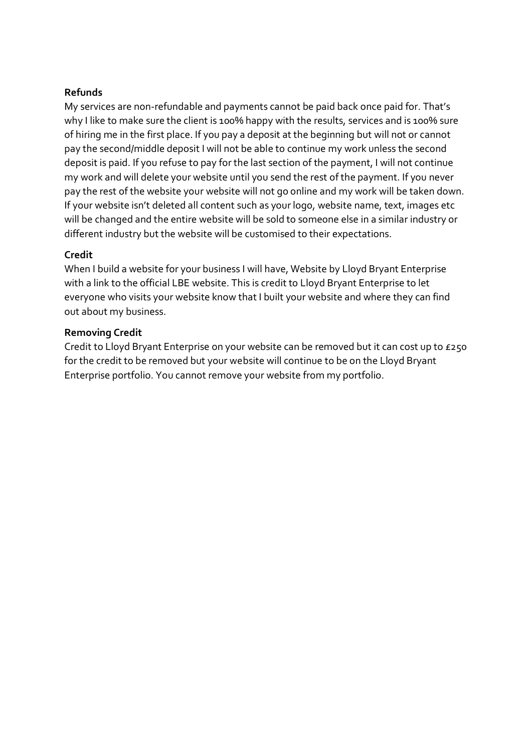## **Refunds**

My services are non-refundable and payments cannot be paid back once paid for. That's why I like to make sure the client is 100% happy with the results, services and is 100% sure of hiring me in the first place. If you pay a deposit at the beginning but will not or cannot pay the second/middle deposit I will not be able to continue my work unless the second deposit is paid. If you refuse to pay for the last section of the payment, I will not continue my work and will delete your website until you send the rest of the payment. If you never pay the rest of the website your website will not go online and my work will be taken down. If your website isn't deleted all content such as your logo, website name, text, images etc will be changed and the entire website will be sold to someone else in a similar industry or different industry but the website will be customised to their expectations.

#### **Credit**

When I build a website for your business I will have, Website by Lloyd Bryant Enterprise with a link to the official LBE website. This is credit to Lloyd Bryant Enterprise to let everyone who visits your website know that I built your website and where they can find out about my business.

#### **Removing Credit**

Credit to Lloyd Bryant Enterprise on your website can be removed but it can cost up to £250 for the credit to be removed but your website will continue to be on the Lloyd Bryant Enterprise portfolio. You cannot remove your website from my portfolio.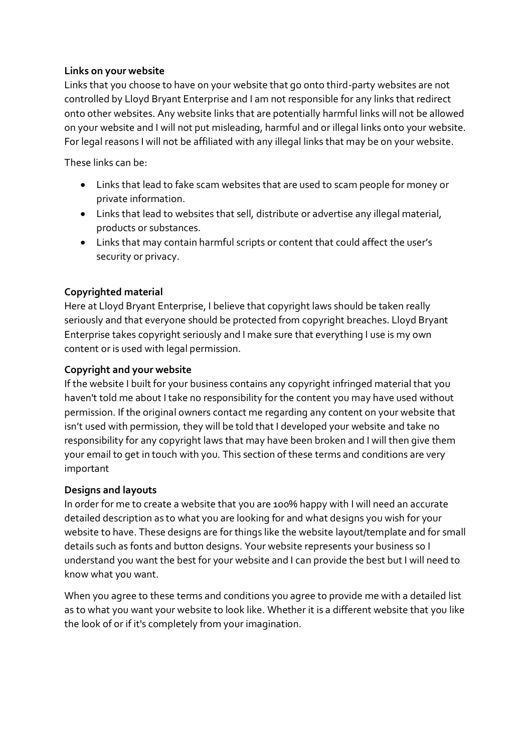## **Links on your website**

Links that you choose to have on your website that go onto third-party websites are not controlled by Lloyd Bryant Enterprise and I am not responsible for any links that redirect onto other websites. Any website links that are potentially harmful links will not be allowed on your website and I will not put misleading, harmful and or illegal links onto your website. For legal reasons I will not be affiliated with any illegal links that may be on your website.

These links can be:

- Links that lead to fake scam websites that are used to scam people for money or private information.
- Links that lead to websites that sell, distribute or advertise any illegal material, products or substances.
- Links that may contain harmful scripts or content that could affect the user's security or privacy.

## **Copyrighted material**

Here at Lloyd Bryant Enterprise, I believe that copyright laws should be taken really seriously and that everyone should be protected from copyright breaches. Lloyd Bryant Enterprise takes copyright seriously and I make sure that everything I use is my own content or is used with legal permission.

#### **Copyright and your website**

If the website I built for your business contains any copyright infringed material that you haven't told me about I take no responsibility for the content you may have used without permission. If the original owners contact me regarding any content on your website that isn't used with permission, they will be told that I developed your website and take no responsibility for any copyright laws that may have been broken and I will then give them your email to get in touch with you. This section of these terms and conditions are very important

#### **Designs and layouts**

In order for me to create a website that you are 100% happy with I will need an accurate detailed description as to what you are looking for and what designs you wish for your website to have. These designs are for things like the website layout/template and for small details such as fonts and button designs. Your website represents your business so I understand you want the best for your website and I can provide the best but I will need to know what you want.

When you agree to these terms and conditions you agree to provide me with a detailed list as to what you want your website to look like. Whether it is a different website that you like the look of or if it's completely from your imagination.